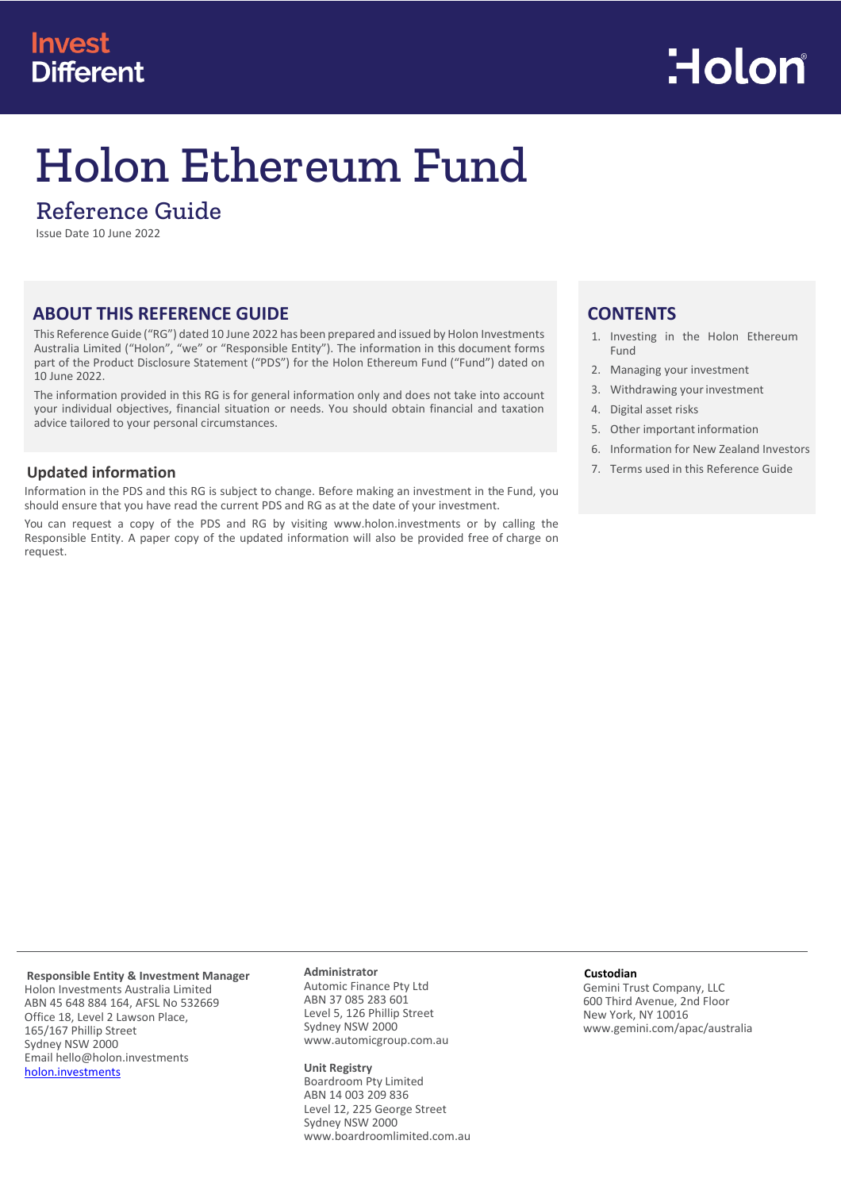# **Invest Different**



# Holon Ethereum Fund

## Reference Guide

Issue Date 10 June 2022

## **ABOUT THIS REFERENCE GUIDE**

This Reference Guide ("RG") dated 10 June 2022 has been prepared and issued by Holon Investments Australia Limited ("Holon", "we" or "Responsible Entity"). The information in this document forms part of the Product Disclosure Statement ("PDS") for the Holon Ethereum Fund ("Fund") dated on 10 June 2022.

The information provided in this RG is for general information only and does not take into account your individual objectives, financial situation or needs. You should obtain financial and taxation advice tailored to your personal circumstances.

## **Updated information**

Information in the PDS and this RG is subject to change. Before making an investment in the Fund, you should ensure that you have read the current PDS and RG as at the date of your investment.

You can request a copy of the PDS and RG by visiting [www.holon.investments](http://www.holon.investments/) or by calling the Responsible Entity. A paper copy of the updated information will also be provided free of charge on request.

## **CONTENTS**

- 1. Investing in the Holon Ethereum Fund
- 2. Managing your investment
- 3. Withdrawing your investment
- 4. Digital asset risks
- 5. Other important information
- 6. Information for New Zealand Investors
- 7. Terms used in this Reference Guide

#### **Responsible Entity & Investment Manager** Holon Investments Australia Limited ABN 45 648 884 164, AFSL No 532669 Office 18, Level 2 Lawson Place, 165/167 Phillip Street Sydney NSW 2000 Email hello@holon.investments [holon.investments](http://holon.investments/)

## **Administrator**

Automic Finance Pty Ltd ABN 37 085 283 601 Level 5, 126 Phillip Street Sydney NSW 2000 www.automicgroup.com.au

#### **Unit Registry**

Boardroom Pty Limited ABN 14 003 209 836 Level 12, 225 George Street Sydney NSW 2000 [www.boardroomlimited.com.au](http://www.boardroomlimited.com.au/)

#### **Custodian**

Gemini Trust Company, LLC 600 Third Avenue, 2nd Floor New York, NY 10016 www.gemini.com/apac/australia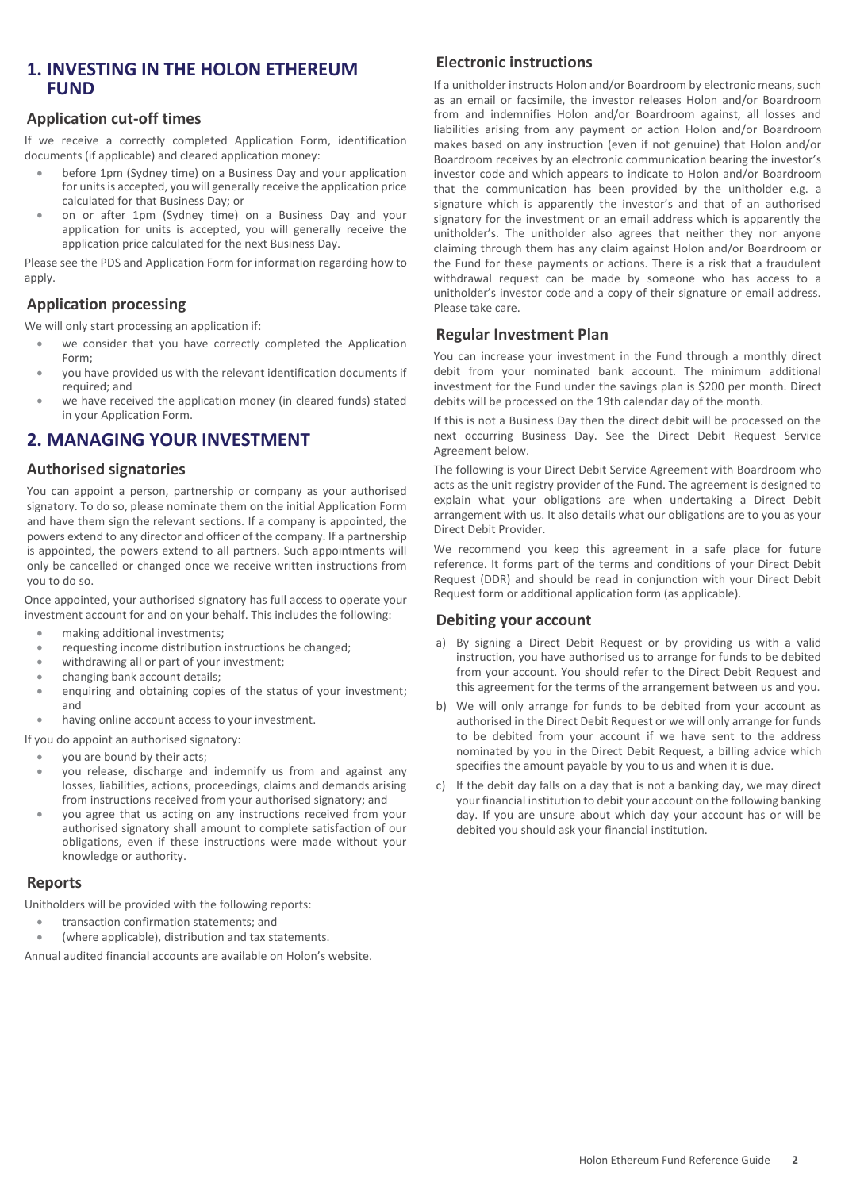## **1. INVESTING IN THE HOLON ETHEREUM FUND**

## **Application cut-off times**

If we receive a correctly completed Application Form, identification documents (if applicable) and cleared application money:

- before 1pm (Sydney time) on a Business Day and your application for units is accepted, you will generally receive the application price calculated for that Business Day; or
- on or after 1pm (Sydney time) on a Business Day and your application for units is accepted, you will generally receive the application price calculated for the next Business Day.

Please see the PDS and Application Form for information regarding how to apply.

## **Application processing**

We will only start processing an application if:

- we consider that you have correctly completed the Application Form;
- you have provided us with the relevant identification documents if required; and
- we have received the application money (in cleared funds) stated in your Application Form.

## **2. MANAGING YOUR INVESTMENT**

## **Authorised signatories**

You can appoint a person, partnership or company as your authorised signatory. To do so, please nominate them on the initial Application Form and have them sign the relevant sections. If a company is appointed, the powers extend to any director and officer of the company. If a partnership is appointed, the powers extend to all partners. Such appointments will only be cancelled or changed once we receive written instructions from you to do so.

Once appointed, your authorised signatory has full access to operate your investment account for and on your behalf. This includes the following:

- making additional investments;
- requesting income distribution instructions be changed;
- withdrawing all or part of your investment;
- changing bank account details;
- enquiring and obtaining copies of the status of your investment; and
- having online account access to your investment.
- If you do appoint an authorised signatory:

you are bound by their acts;

- you release, discharge and indemnify us from and against any losses, liabilities, actions, proceedings, claims and demands arising from instructions received from your authorised signatory; and
- you agree that us acting on any instructions received from your authorised signatory shall amount to complete satisfaction of our obligations, even if these instructions were made without your knowledge or authority.

#### **Reports**

Unitholders will be provided with the following reports:

- transaction confirmation statements; and
- (where applicable), distribution and tax statements.

Annual audited financial accounts are available on Holon's website.

## **Electronic instructions**

If a unitholder instructs Holon and/or Boardroom by electronic means, such as an email or facsimile, the investor releases Holon and/or Boardroom from and indemnifies Holon and/or Boardroom against, all losses and liabilities arising from any payment or action Holon and/or Boardroom makes based on any instruction (even if not genuine) that Holon and/or Boardroom receives by an electronic communication bearing the investor's investor code and which appears to indicate to Holon and/or Boardroom that the communication has been provided by the unitholder e.g. a signature which is apparently the investor's and that of an authorised signatory for the investment or an email address which is apparently the unitholder's. The unitholder also agrees that neither they nor anyone claiming through them has any claim against Holon and/or Boardroom or the Fund for these payments or actions. There is a risk that a fraudulent withdrawal request can be made by someone who has access to a unitholder's investor code and a copy of their signature or email address. Please take care.

## **Regular Investment Plan**

You can increase your investment in the Fund through a monthly direct debit from your nominated bank account. The minimum additional investment for the Fund under the savings plan is \$200 per month. Direct debits will be processed on the 19th calendar day of the month.

If this is not a Business Day then the direct debit will be processed on the next occurring Business Day. See the Direct Debit Request Service Agreement below.

The following is your Direct Debit Service Agreement with Boardroom who acts as the unit registry provider of the Fund. The agreement is designed to explain what your obligations are when undertaking a Direct Debit arrangement with us. It also details what our obligations are to you as your Direct Debit Provider.

We recommend you keep this agreement in a safe place for future reference. It forms part of the terms and conditions of your Direct Debit Request (DDR) and should be read in conjunction with your Direct Debit Request form or additional application form (as applicable).

#### **Debiting your account**

- a) By signing a Direct Debit Request or by providing us with a valid instruction, you have authorised us to arrange for funds to be debited from your account. You should refer to the Direct Debit Request and this agreement for the terms of the arrangement between us and you.
- b) We will only arrange for funds to be debited from your account as authorised in the Direct Debit Request or we will only arrange for funds to be debited from your account if we have sent to the address nominated by you in the Direct Debit Request, a billing advice which specifies the amount payable by you to us and when it is due.
- c) If the debit day falls on a day that is not a banking day, we may direct your financial institution to debit your account on the following banking day. If you are unsure about which day your account has or will be debited you should ask your financial institution.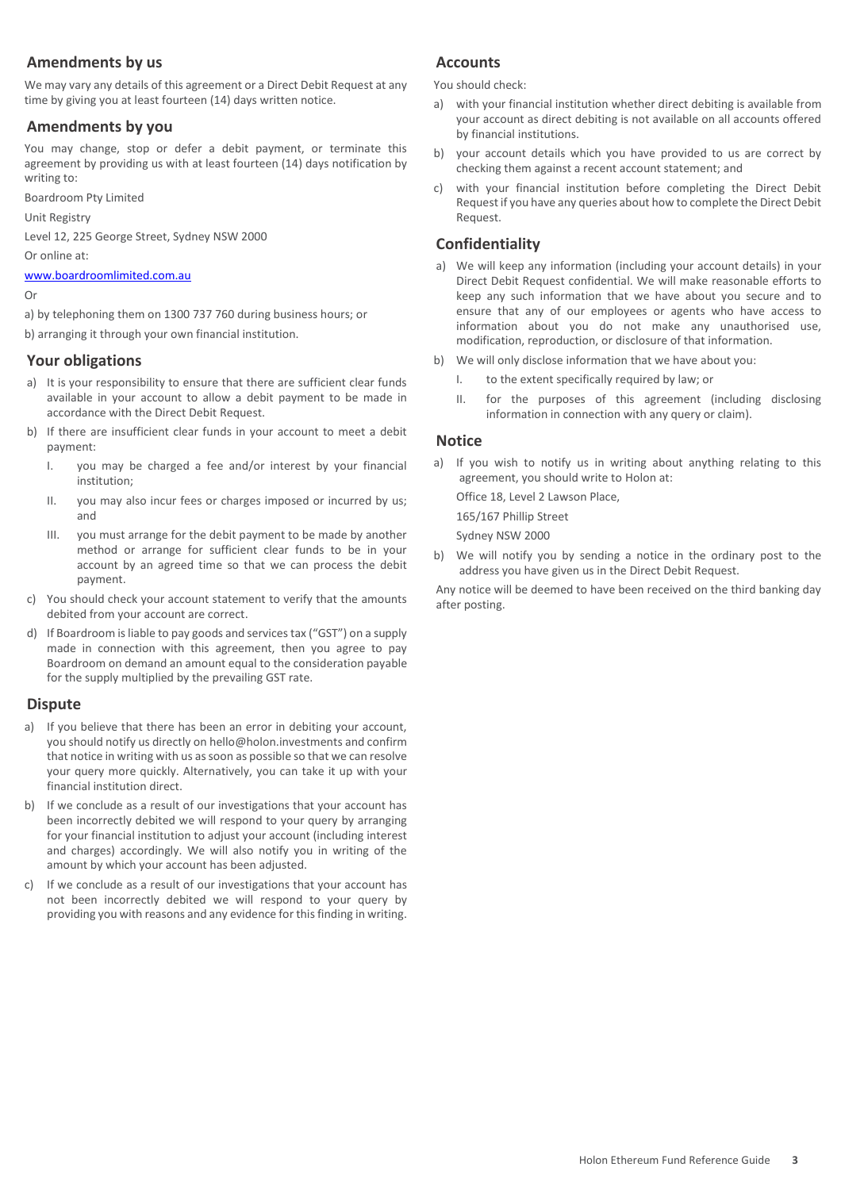## **Amendments by us**

We may vary any details of this agreement or a Direct Debit Request at any time by giving you at least fourteen (14) days written notice.

## **Amendments by you**

You may change, stop or defer a debit payment, or terminate this agreement by providing us with at least fourteen (14) days notification by writing to:

Boardroom Pty Limited

Unit Registry

Level 12, 225 George Street, Sydney NSW 2000

Or online at:

[www.boardroomlimited.com.au](http://www.boardroomlimited.com.au/)

#### Or

a) by telephoning them on 1300 737 760 during business hours; or

b) arranging it through your own financial institution.

## **Your obligations**

- a) It is your responsibility to ensure that there are sufficient clear funds available in your account to allow a debit payment to be made in accordance with the Direct Debit Request.
- b) If there are insufficient clear funds in your account to meet a debit payment:
	- I. you may be charged a fee and/or interest by your financial institution;
	- II. you may also incur fees or charges imposed or incurred by us; and
	- III. you must arrange for the debit payment to be made by another method or arrange for sufficient clear funds to be in your account by an agreed time so that we can process the debit payment.
- c) You should check your account statement to verify that the amounts debited from your account are correct.
- d) If Boardroom is liable to pay goods and services tax ("GST") on a supply made in connection with this agreement, then you agree to pay Boardroom on demand an amount equal to the consideration payable for the supply multiplied by the prevailing GST rate.

#### **Dispute**

- a) If you believe that there has been an error in debiting your account, you should notify us directly on hello@holon.investments and confirm that notice in writing with us as soon as possible so that we can resolve your query more quickly. Alternatively, you can take it up with your financial institution direct.
- b) If we conclude as a result of our investigations that your account has been incorrectly debited we will respond to your query by arranging for your financial institution to adjust your account (including interest and charges) accordingly. We will also notify you in writing of the amount by which your account has been adjusted.
- c) If we conclude as a result of our investigations that your account has not been incorrectly debited we will respond to your query by providing you with reasons and any evidence for this finding in writing.

## **Accounts**

You should check:

- a) with your financial institution whether direct debiting is available from your account as direct debiting is not available on all accounts offered by financial institutions.
- b) your account details which you have provided to us are correct by checking them against a recent account statement; and
- c) with your financial institution before completing the Direct Debit Request if you have any queries about how to complete the Direct Debit Request.

## **Confidentiality**

- a) We will keep any information (including your account details) in your Direct Debit Request confidential. We will make reasonable efforts to keep any such information that we have about you secure and to ensure that any of our employees or agents who have access to information about you do not make any unauthorised use, modification, reproduction, or disclosure of that information.
- b) We will only disclose information that we have about you:
	- I. to the extent specifically required by law; or
	- II. for the purposes of this agreement (including disclosing information in connection with any query or claim).

## **Notice**

a) If you wish to notify us in writing about anything relating to this agreement, you should write to Holon at:

Office 18, Level 2 Lawson Place,

165/167 Phillip Street Sydney NSW 2000

b) We will notify you by sending a notice in the ordinary post to the address you have given us in the Direct Debit Request.

Any notice will be deemed to have been received on the third banking day after posting.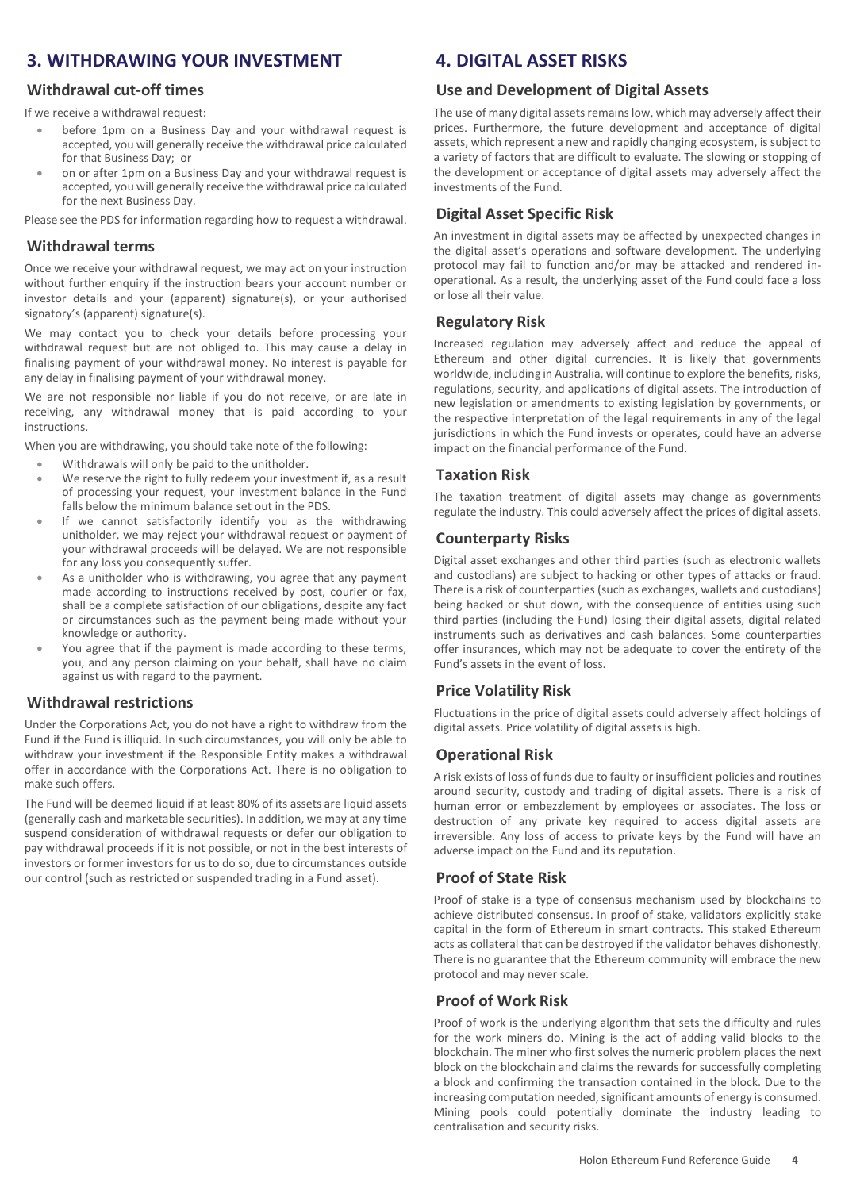## **3. WITHDRAWING YOUR INVESTMENT**

## **Withdrawal cut-off times**

If we receive a withdrawal request:

- before 1pm on a Business Day and your withdrawal request is accepted, you will generally receive the withdrawal price calculated for that Business Day; or
- on or after 1pm on a Business Day and your withdrawal request is accepted, you will generally receive the withdrawal price calculated for the next Business Day.

Please see the PDS for information regarding how to request a withdrawal.

#### **Withdrawal terms**

Once we receive your withdrawal request, we may act on your instruction without further enquiry if the instruction bears your account number or investor details and your (apparent) signature(s), or your authorised signatory's (apparent) signature(s).

We may contact you to check your details before processing your withdrawal request but are not obliged to. This may cause a delay in finalising payment of your withdrawal money. No interest is payable for any delay in finalising payment of your withdrawal money.

We are not responsible nor liable if you do not receive, or are late in receiving, any withdrawal money that is paid according to your instructions.

When you are withdrawing, you should take note of the following:

- Withdrawals will only be paid to the unitholder.
- We reserve the right to fully redeem your investment if, as a result of processing your request, your investment balance in the Fund falls below the minimum balance set out in the PDS.
- If we cannot satisfactorily identify you as the withdrawing unitholder, we may reject your withdrawal request or payment of your withdrawal proceeds will be delayed. We are not responsible for any loss you consequently suffer.
- As a unitholder who is withdrawing, you agree that any payment made according to instructions received by post, courier or fax, shall be a complete satisfaction of our obligations, despite any fact or circumstances such as the payment being made without your knowledge or authority.
- You agree that if the payment is made according to these terms, you, and any person claiming on your behalf, shall have no claim against us with regard to the payment.

## **Withdrawal restrictions**

Under the Corporations Act, you do not have a right to withdraw from the Fund if the Fund is illiquid. In such circumstances, you will only be able to withdraw your investment if the Responsible Entity makes a withdrawal offer in accordance with the Corporations Act. There is no obligation to make such offers.

The Fund will be deemed liquid if at least 80% of its assets are liquid assets (generally cash and marketable securities). In addition, we may at any time suspend consideration of withdrawal requests or defer our obligation to pay withdrawal proceeds if it is not possible, or not in the best interests of investors or former investors for us to do so, due to circumstances outside our control (such as restricted or suspended trading in a Fund asset).

## **4. DIGITAL ASSET RISKS**

#### **Use and Development of Digital Assets**

The use of many digital assets remains low, which may adversely affect their prices. Furthermore, the future development and acceptance of digital assets, which represent a new and rapidly changing ecosystem, is subject to a variety of factors that are difficult to evaluate. The slowing or stopping of the development or acceptance of digital assets may adversely affect the investments of the Fund.

## **Digital Asset Specific Risk**

An investment in digital assets may be affected by unexpected changes in the digital asset's operations and software development. The underlying protocol may fail to function and/or may be attacked and rendered inoperational. As a result, the underlying asset of the Fund could face a loss or lose all their value.

## **Regulatory Risk**

Increased regulation may adversely affect and reduce the appeal of Ethereum and other digital currencies. It is likely that governments worldwide, including in Australia, will continue to explore the benefits, risks, regulations, security, and applications of digital assets. The introduction of new legislation or amendments to existing legislation by governments, or the respective interpretation of the legal requirements in any of the legal jurisdictions in which the Fund invests or operates, could have an adverse impact on the financial performance of the Fund.

## **Taxation Risk**

The taxation treatment of digital assets may change as governments regulate the industry. This could adversely affect the prices of digital assets.

#### **Counterparty Risks**

Digital asset exchanges and other third parties (such as electronic wallets and custodians) are subject to hacking or other types of attacks or fraud. There is a risk of counterparties (such as exchanges, wallets and custodians) being hacked or shut down, with the consequence of entities using such third parties (including the Fund) losing their digital assets, digital related instruments such as derivatives and cash balances. Some counterparties offer insurances, which may not be adequate to cover the entirety of the Fund's assets in the event of loss.

## **Price Volatility Risk**

Fluctuations in the price of digital assets could adversely affect holdings of digital assets. Price volatility of digital assets is high.

## **Operational Risk**

A risk exists of loss of funds due to faulty or insufficient policies and routines around security, custody and trading of digital assets. There is a risk of human error or embezzlement by employees or associates. The loss or destruction of any private key required to access digital assets are irreversible. Any loss of access to private keys by the Fund will have an adverse impact on the Fund and its reputation.

## **Proof of State Risk**

Proof of stake is a type of consensus mechanism used by blockchains to achieve distributed consensus. In proof of stake, validators explicitly stake capital in the form of Ethereum in smart contracts. This staked Ethereum acts as collateral that can be destroyed if the validator behaves dishonestly. There is no guarantee that the Ethereum community will embrace the new protocol and may never scale.

## **Proof of Work Risk**

Proof of work is the underlying algorithm that sets the difficulty and rules for the work miners do. Mining is the act of adding valid blocks to the blockchain. The miner who first solves the numeric problem places the next block on the blockchain and claims the rewards for successfully completing a block and confirming the transaction contained in the block. Due to the increasing computation needed, significant amounts of energy is consumed. Mining pools could potentially dominate the industry leading to centralisation and security risks.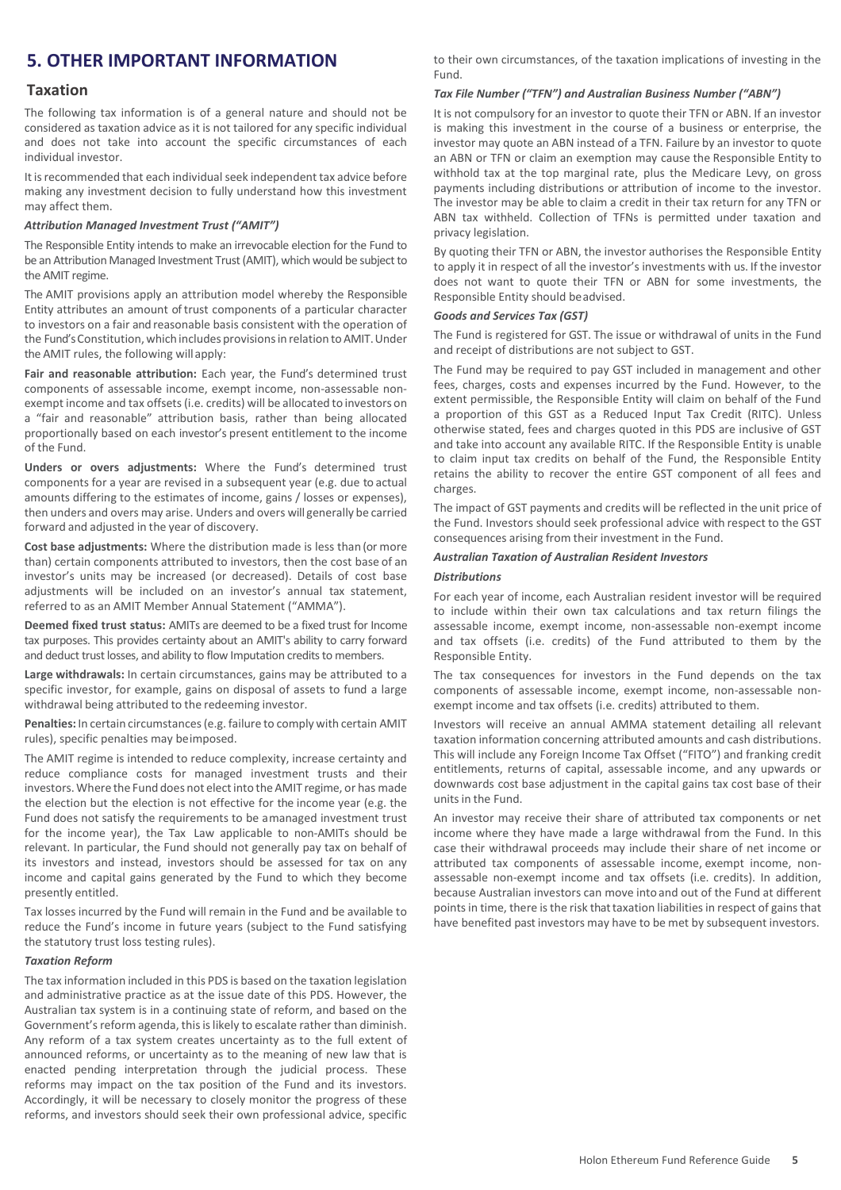## **5. OTHER IMPORTANT INFORMATION**

#### **Taxation**

The following tax information is of a general nature and should not be considered as taxation advice as it is not tailored for any specific individual and does not take into account the specific circumstances of each individual investor.

It is recommended that each individual seek independent tax advice before making any investment decision to fully understand how this investment may affect them.

#### *Attribution Managed Investment Trust ("AMIT")*

The Responsible Entity intends to make an irrevocable election for the Fund to be an Attribution Managed Investment Trust (AMIT), which would be subject to the AMIT regime.

The AMIT provisions apply an attribution model whereby the Responsible Entity attributes an amount of trust components of a particular character to investors on a fair and reasonable basis consistent with the operation of the Fund's Constitution, which includes provisions in relation to AMIT. Under the AMIT rules, the following willapply:

**Fair and reasonable attribution:** Each year, the Fund's determined trust components of assessable income, exempt income, non-assessable nonexempt income and tax offsets (i.e. credits) will be allocated to investors on a "fair and reasonable" attribution basis, rather than being allocated proportionally based on each investor's present entitlement to the income of the Fund.

**Unders or overs adjustments:** Where the Fund's determined trust components for a year are revised in a subsequent year (e.g. due to actual amounts differing to the estimates of income, gains / losses or expenses), then unders and overs may arise. Unders and overs will generally be carried forward and adjusted in the year of discovery.

**Cost base adjustments:** Where the distribution made is less than (or more than) certain components attributed to investors, then the cost base of an investor's units may be increased (or decreased). Details of cost base adjustments will be included on an investor's annual tax statement, referred to as an AMIT Member Annual Statement ("AMMA").

**Deemed fixed trust status:** AMITs are deemed to be a fixed trust for Income tax purposes. This provides certainty about an AMIT's ability to carry forward and deduct trust losses, and ability to flow Imputation credits to members.

**Large withdrawals:** In certain circumstances, gains may be attributed to a specific investor, for example, gains on disposal of assets to fund a large withdrawal being attributed to the redeeming investor.

**Penalties:** In certain circumstances(e.g. failure to comply with certain AMIT rules), specific penalties may beimposed.

The AMIT regime is intended to reduce complexity, increase certainty and reduce compliance costs for managed investment trusts and their investors.Where the Fund does not electinto theAMIT regime, or has made the election but the election is not effective for the income year (e.g. the Fund does not satisfy the requirements to be a managed investment trust for the income year), the Tax Law applicable to non-AMITs should be relevant. In particular, the Fund should not generally pay tax on behalf of its investors and instead, investors should be assessed for tax on any income and capital gains generated by the Fund to which they become presently entitled.

Tax losses incurred by the Fund will remain in the Fund and be available to reduce the Fund's income in future years (subject to the Fund satisfying the statutory trust loss testing rules).

#### *Taxation Reform*

The tax information included in this PDS is based on the taxation legislation and administrative practice as at the issue date of this PDS. However, the Australian tax system is in a continuing state of reform, and based on the Government's reform agenda, this is likely to escalate rather than diminish. Any reform of a tax system creates uncertainty as to the full extent of announced reforms, or uncertainty as to the meaning of new law that is enacted pending interpretation through the judicial process. These reforms may impact on the tax position of the Fund and its investors. Accordingly, it will be necessary to closely monitor the progress of these reforms, and investors should seek their own professional advice, specific

to their own circumstances, of the taxation implications of investing in the Fund.

#### *Tax File Number ("TFN") and Australian Business Number ("ABN")*

It is not compulsory for an investor to quote their TFN or ABN. If an investor is making this investment in the course of a business or enterprise, the investor may quote an ABN instead of a TFN. Failure by an investor to quote an ABN or TFN or claim an exemption may cause the Responsible Entity to withhold tax at the top marginal rate, plus the Medicare Levy, on gross payments including distributions or attribution of income to the investor. The investor may be able to claim a credit in their tax return for any TFN or ABN tax withheld. Collection of TFNs is permitted under taxation and privacy legislation.

By quoting their TFN or ABN, the investor authorises the Responsible Entity to apply it in respect of all the investor's investments with us. If the investor does not want to quote their TFN or ABN for some investments, the Responsible Entity should beadvised.

#### *Goods and Services Tax (GST)*

The Fund is registered for GST. The issue or withdrawal of units in the Fund and receipt of distributions are not subject to GST.

The Fund may be required to pay GST included in management and other fees, charges, costs and expenses incurred by the Fund. However, to the extent permissible, the Responsible Entity will claim on behalf of the Fund a proportion of this GST as a Reduced Input Tax Credit (RITC). Unless otherwise stated, fees and charges quoted in this PDS are inclusive of GST and take into account any available RITC. If the Responsible Entity is unable to claim input tax credits on behalf of the Fund, the Responsible Entity retains the ability to recover the entire GST component of all fees and charges.

The impact of GST payments and credits will be reflected in the unit price of the Fund. Investors should seek professional advice with respect to the GST consequences arising from their investment in the Fund.

#### *Australian Taxation of Australian Resident Investors*

#### *Distributions*

For each year of income, each Australian resident investor will be required to include within their own tax calculations and tax return filings the assessable income, exempt income, non-assessable non-exempt income and tax offsets (i.e. credits) of the Fund attributed to them by the Responsible Entity.

The tax consequences for investors in the Fund depends on the tax components of assessable income, exempt income, non-assessable nonexempt income and tax offsets (i.e. credits) attributed to them.

Investors will receive an annual AMMA statement detailing all relevant taxation information concerning attributed amounts and cash distributions. This will include any Foreign Income Tax Offset ("FITO") and franking credit entitlements, returns of capital, assessable income, and any upwards or downwards cost base adjustment in the capital gains tax cost base of their unitsin the Fund.

An investor may receive their share of attributed tax components or net income where they have made a large withdrawal from the Fund. In this case their withdrawal proceeds may include their share of net income or attributed tax components of assessable income, exempt income, nonassessable non-exempt income and tax offsets (i.e. credits). In addition, because Australian investors can move into and out of the Fund at different points in time, there is the risk that taxation liabilities in respect of gains that have benefited past investors may have to be met by subsequent investors.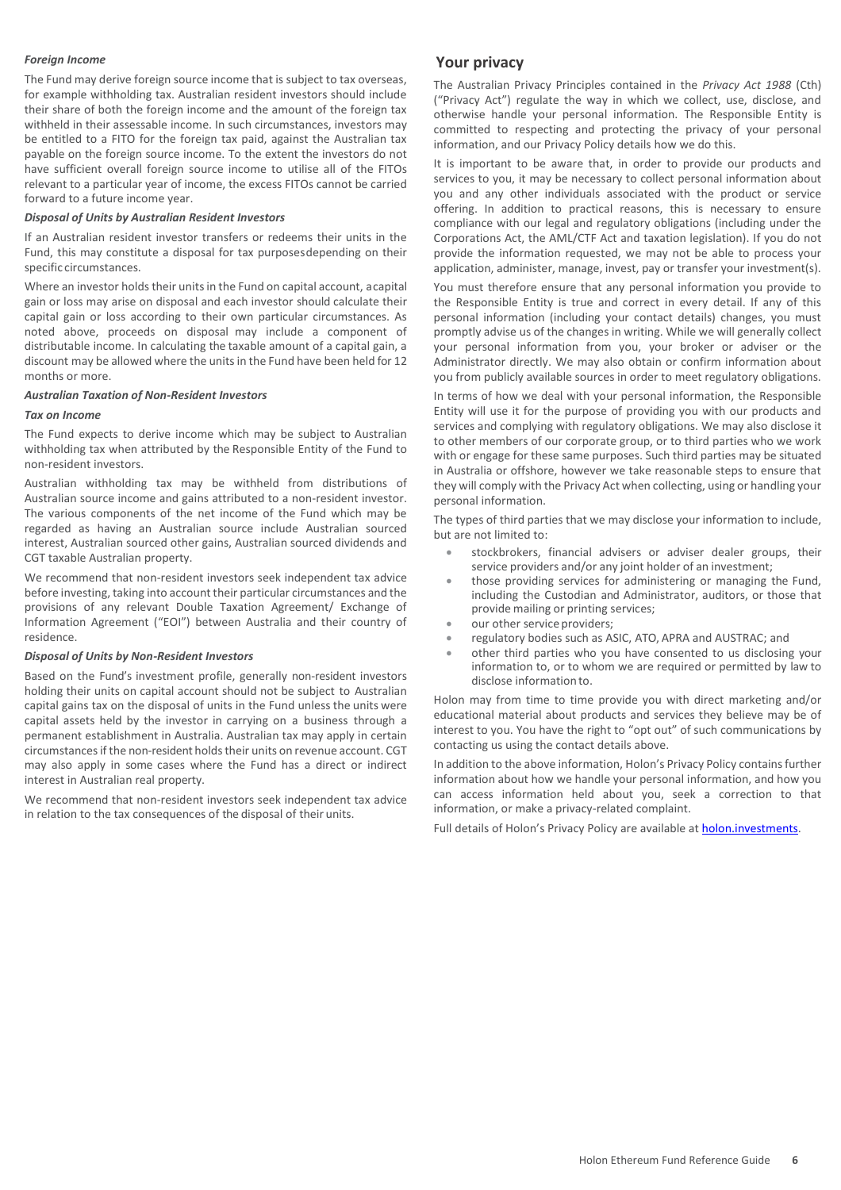#### *Foreign Income*

The Fund may derive foreign source income that is subject to tax overseas, for example withholding tax. Australian resident investors should include their share of both the foreign income and the amount of the foreign tax withheld in their assessable income. In such circumstances, investors may be entitled to a FITO for the foreign tax paid, against the Australian tax payable on the foreign source income. To the extent the investors do not have sufficient overall foreign source income to utilise all of the FITOs relevant to a particular year of income, the excess FITOs cannot be carried forward to a future income year.

#### *Disposal of Units by Australian Resident Investors*

If an Australian resident investor transfers or redeems their units in the Fund, this may constitute a disposal for tax purposesdepending on their specific circumstances.

Where an investor holds their units in the Fund on capital account, a capital gain or loss may arise on disposal and each investor should calculate their capital gain or loss according to their own particular circumstances. As noted above, proceeds on disposal may include a component of distributable income. In calculating the taxable amount of a capital gain, a discount may be allowed where the units in the Fund have been held for 12 months or more.

#### *Australian Taxation of Non-Resident Investors*

#### *Tax on Income*

The Fund expects to derive income which may be subject to Australian withholding tax when attributed by the Responsible Entity of the Fund to non-resident investors.

Australian withholding tax may be withheld from distributions of Australian source income and gains attributed to a non-resident investor. The various components of the net income of the Fund which may be regarded as having an Australian source include Australian sourced interest, Australian sourced other gains, Australian sourced dividends and CGT taxable Australian property.

We recommend that non-resident investors seek independent tax advice before investing, taking into account their particular circumstances and the provisions of any relevant Double Taxation Agreement/ Exchange of Information Agreement ("EOI") between Australia and their country of residence.

#### *Disposal of Units by Non-Resident Investors*

Based on the Fund's investment profile, generally non-resident investors holding their units on capital account should not be subject to Australian capital gains tax on the disposal of units in the Fund unless the units were capital assets held by the investor in carrying on a business through a permanent establishment in Australia. Australian tax may apply in certain circumstances if the non-resident holds their units on revenue account. CGT may also apply in some cases where the Fund has a direct or indirect interest in Australian real property.

We recommend that non-resident investors seek independent tax advice in relation to the tax consequences of the disposal of their units.

#### **Your privacy**

The Australian Privacy Principles contained in the *Privacy Act 1988* (Cth) ("Privacy Act") regulate the way in which we collect, use, disclose, and otherwise handle your personal information. The Responsible Entity is committed to respecting and protecting the privacy of your personal information, and our Privacy Policy details how we do this.

It is important to be aware that, in order to provide our products and services to you, it may be necessary to collect personal information about you and any other individuals associated with the product or service offering. In addition to practical reasons, this is necessary to ensure compliance with our legal and regulatory obligations (including under the Corporations Act, the AML/CTF Act and taxation legislation). If you do not provide the information requested, we may not be able to process your application, administer, manage, invest, pay or transfer your investment(s).

You must therefore ensure that any personal information you provide to the Responsible Entity is true and correct in every detail. If any of this personal information (including your contact details) changes, you must promptly advise us of the changes in writing. While we will generally collect your personal information from you, your broker or adviser or the Administrator directly. We may also obtain or confirm information about you from publicly available sources in order to meet regulatory obligations.

In terms of how we deal with your personal information, the Responsible Entity will use it for the purpose of providing you with our products and services and complying with regulatory obligations. We may also disclose it to other members of our corporate group, or to third parties who we work with or engage for these same purposes. Such third parties may be situated in Australia or offshore, however we take reasonable steps to ensure that they will comply with the Privacy Act when collecting, using or handling your personal information.

The types of third parties that we may disclose your information to include, but are not limited to:

- stockbrokers, financial advisers or adviser dealer groups, their service providers and/or any joint holder of an investment;
- those providing services for administering or managing the Fund, including the Custodian and Administrator, auditors, or those that provide mailing or printing services;
- our other service providers;
- regulatory bodies such as ASIC, ATO, APRA and AUSTRAC; and
- other third parties who you have consented to us disclosing your information to, or to whom we are required or permitted by law to disclose information to.

Holon may from time to time provide you with direct marketing and/or educational material about products and services they believe may be of interest to you. You have the right to "opt out" of such communications by contacting us using the contact details above.

In addition to the above information, Holon's Privacy Policy contains further information about how we handle your personal information, and how you can access information held about you, seek a correction to that information, or make a privacy-related complaint.

Full details of Holon's Privacy Policy are available at [holon.investments.](http://holon.investments/)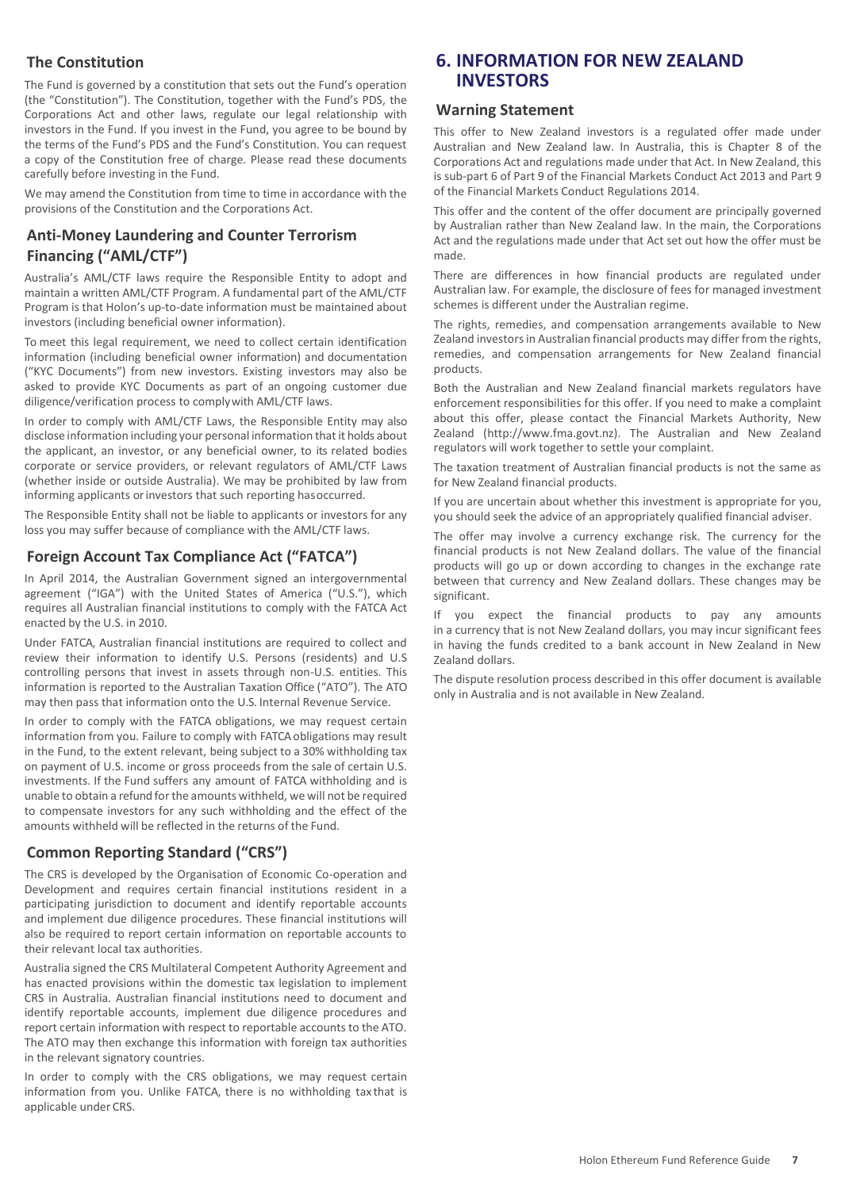## **The Constitution**

The Fund is governed by a constitution that sets out the Fund's operation (the "Constitution"). The Constitution, together with the Fund's PDS, the Corporations Act and other laws, regulate our legal relationship with investors in the Fund. If you invest in the Fund, you agree to be bound by the terms of the Fund's PDS and the Fund's Constitution. You can request a copy of the Constitution free of charge. Please read these documents carefully before investing in the Fund.

We may amend the Constitution from time to time in accordance with the provisions of the Constitution and the Corporations Act.

## **Anti-Money Laundering and Counter Terrorism Financing ("AML/CTF")**

Australia's AML/CTF laws require the Responsible Entity to adopt and maintain a written AML/CTF Program. A fundamental part of the AML/CTF Program is that Holon's up-to-date information must be maintained about investors (including beneficial owner information).

To meet this legal requirement, we need to collect certain identification information (including beneficial owner information) and documentation ("KYC Documents") from new investors. Existing investors may also be asked to provide KYC Documents as part of an ongoing customer due diligence/verification process to complywith AML/CTF laws.

In order to comply with AML/CTF Laws, the Responsible Entity may also disclose information including your personal information that it holds about the applicant, an investor, or any beneficial owner, to its related bodies corporate or service providers, or relevant regulators of AML/CTF Laws (whether inside or outside Australia). We may be prohibited by law from informing applicants or investors that such reporting hasoccurred.

The Responsible Entity shall not be liable to applicants or investors for any loss you may suffer because of compliance with the AML/CTF laws.

## **Foreign Account Tax Compliance Act ("FATCA")**

In April 2014, the Australian Government signed an intergovernmental agreement ("IGA") with the United States of America ("U.S."), which requires all Australian financial institutions to comply with the FATCA Act enacted by the U.S. in 2010.

Under FATCA, Australian financial institutions are required to collect and review their information to identify U.S. Persons (residents) and U.S controlling persons that invest in assets through non-U.S. entities. This information is reported to the Australian Taxation Office ("ATO"). The ATO may then pass that information onto the U.S. Internal Revenue Service.

In order to comply with the FATCA obligations, we may request certain information from you. Failure to comply with FATCA obligations may result in the Fund, to the extent relevant, being subject to a 30% withholding tax on payment of U.S. income or gross proceeds from the sale of certain U.S. investments. If the Fund suffers any amount of FATCA withholding and is unable to obtain a refund for the amounts withheld, we will not be required to compensate investors for any such withholding and the effect of the amounts withheld will be reflected in the returns of the Fund.

## **Common Reporting Standard ("CRS")**

The CRS is developed by the Organisation of Economic Co-operation and Development and requires certain financial institutions resident in a participating jurisdiction to document and identify reportable accounts and implement due diligence procedures. These financial institutions will also be required to report certain information on reportable accounts to their relevant local tax authorities.

Australia signed the CRS Multilateral Competent Authority Agreement and has enacted provisions within the domestic tax legislation to implement CRS in Australia. Australian financial institutions need to document and identify reportable accounts, implement due diligence procedures and report certain information with respect to reportable accounts to the ATO. The ATO may then exchange this information with foreign tax authorities in the relevant signatory countries.

In order to comply with the CRS obligations, we may request certain information from you. Unlike FATCA, there is no withholding tax that is applicable under CRS.

## **6. INFORMATION FOR NEW ZEALAND INVESTORS**

#### **Warning Statement**

This offer to New Zealand investors is a regulated offer made under Australian and New Zealand law. In Australia, this is Chapter 8 of the Corporations Act and regulations made under that Act. In New Zealand, this is sub-part 6 of Part 9 of the Financial Markets Conduct Act 2013 and Part 9 of the Financial Markets Conduct Regulations 2014.

This offer and the content of the offer document are principally governed by Australian rather than New Zealand law. In the main, the Corporations Act and the regulations made under that Act set out how the offer must be made.

There are differences in how financial products are regulated under Australian law. For example, the disclosure of fees for managed investment schemes is different under the Australian regime.

The rights, remedies, and compensation arrangements available to New Zealand investors in Australian financial products may differ from the rights, remedies, and compensation arrangements for New Zealand financial products.

Both the Australian and New Zealand financial markets regulators have enforcement responsibilities for this offer. If you need to make a complaint about this offer, please contact the Financial Markets Authority, New Zealand (http://www.fma.govt.nz). The Australian and New Zealand regulators will work together to settle your complaint.

The taxation treatment of Australian financial products is not the same as for New Zealand financial products.

If you are uncertain about whether this investment is appropriate for you, you should seek the advice of an appropriately qualified financial adviser.

The offer may involve a currency exchange risk. The currency for the financial products is not New Zealand dollars. The value of the financial products will go up or down according to changes in the exchange rate between that currency and New Zealand dollars. These changes may be significant.

If you expect the financial products to pay any amounts in a currency that is not New Zealand dollars, you may incur significant fees in having the funds credited to a bank account in New Zealand in New Zealand dollars.

The dispute resolution process described in this offer document is available only in Australia and is not available in New Zealand.